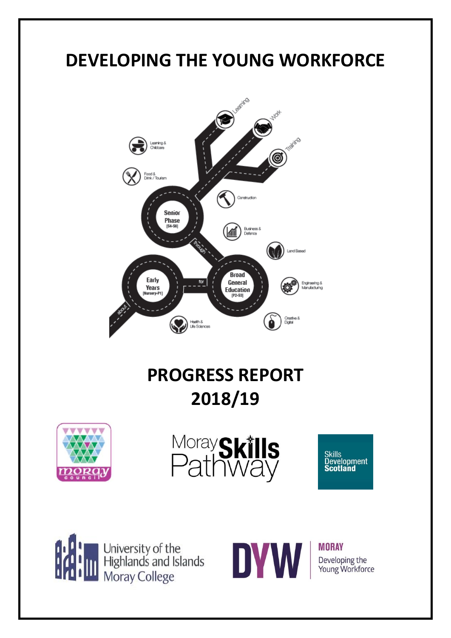# **DEVELOPING THE YOUNG WORKFORCE**



## **PROGRESS REPORT 2018/19**











**MORAY** Developing the Young Workforce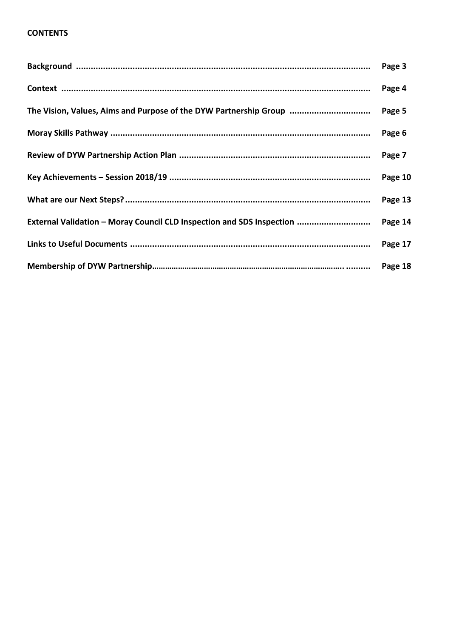## **CONTENTS**

|                                                                       | Page 3  |
|-----------------------------------------------------------------------|---------|
|                                                                       | Page 4  |
| The Vision, Values, Aims and Purpose of the DYW Partnership Group     | Page 5  |
|                                                                       | Page 6  |
|                                                                       | Page 7  |
|                                                                       | Page 10 |
|                                                                       | Page 13 |
| External Validation - Moray Council CLD Inspection and SDS Inspection | Page 14 |
|                                                                       | Page 17 |
|                                                                       |         |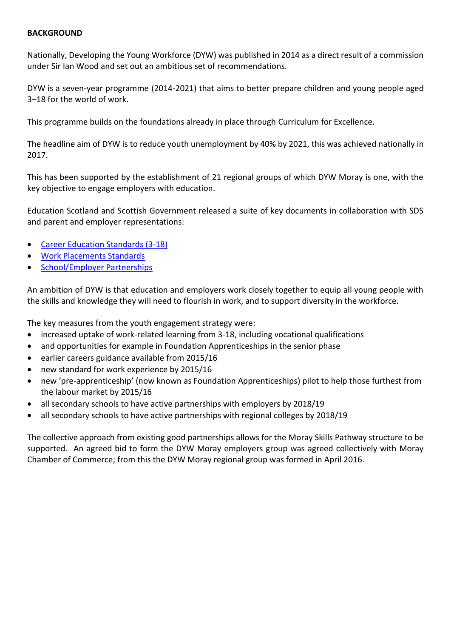#### **BACKGROUND**

Nationally, Developing the Young Workforce (DYW) was published in 2014 as a direct result of a commission under Sir Ian Wood and set out an ambitious set of recommendations.

DYW is a seven-year programme (2014-2021) that aims to better prepare children and young people aged 3–18 for the world of work.

This programme builds on the foundations already in place through [Curriculum for Excellence.](https://education.gov.scot/_layouts/15/Catalog.aspx?Url=https%3A%2F%2Fauth%2Eeducation%2Egov%2Escot%2Fcz%2FPages%2FCurriculum%2Dfor%2DExcellence%2Easpx)

The headline aim of DYW is to reduce youth unemployment by 40% by 2021, this was achieved nationally in 2017.

This has been supported by the establishment of 21 regional groups of which DYW Moray is one, with the key objective to engage employers with education.

Education Scotland and Scottish Government released a suite of key documents in collaboration with SDS and parent and employer representations:

- [Career Education Standards \(3-18\)](https://education.gov.scot/Documents/dyw2-career-education-standard-0915.pdf)
- [Work Placements Standards](https://education.gov.scot/Documents/dyw2-career-education-standard-0915.pdf)
- [School/Employer Partnerships](https://education.gov.scot/Documents/DYW_GuidanceforSchoolEmployerPartnerships0915.pdf)

An ambition of DYW is that education and employers work closely together to equip all young people with the skills and knowledge they will need to flourish in work, and to support diversity in the workforce.

The key measures from the youth engagement strategy were:

- increased uptake of work-related learning from 3-18, including vocational qualifications
- and opportunities for example in Foundation Apprenticeships in the senior phase
- earlier careers guidance available from 2015/16
- new standard for work experience by 2015/16
- new 'pre-apprenticeship' (now known as Foundation Apprenticeships) pilot to help those furthest from the labour market by 2015/16
- all secondary schools to have active partnerships with employers by 2018/19
- all secondary schools to have active partnerships with regional colleges by 2018/19

The collective approach from existing good partnerships allows for the Moray Skills Pathway structure to be supported. An agreed bid to form the DYW Moray employers group was agreed collectively with Moray Chamber of Commerce; from this the DYW Moray regional group was formed in April 2016.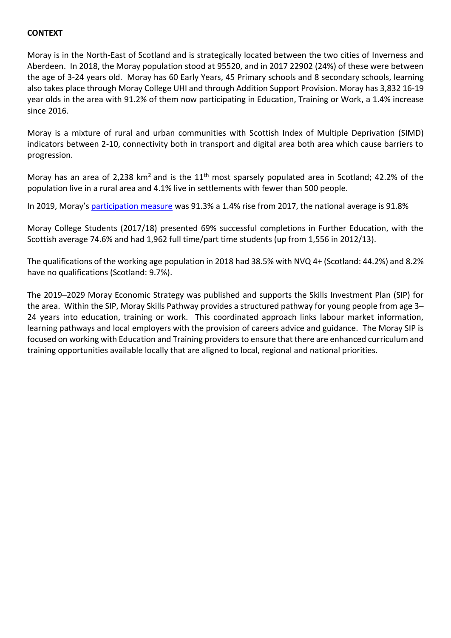## **CONTEXT**

Moray is in the North-East of Scotland and is strategically located between the two cities of Inverness and Aberdeen. In 2018, the Moray population stood at 95520, and in 2017 22902 (24%) of these were between the age of 3-24 years old. Moray has 60 Early Years, 45 Primary schools and 8 secondary schools, learning also takes place through Moray College UHI and through Addition Support Provision. Moray has 3,832 16-19 year olds in the area with 91.2% of them now participating in Education, Training or Work, a 1.4% increase since 2016.

Moray is a mixture of rural and urban communities with Scottish Index of Multiple Deprivation (SIMD) indicators between 2-10, connectivity both in transport and digital area both area which cause barriers to progression.

Moray has an area of 2,238 km<sup>2</sup> and is the  $11<sup>th</sup>$  most sparsely populated area in Scotland; 42.2% of the population live in a rural area and 4.1% live in settlements with fewer than 500 people.

In 2019, Moray's [participation measure](http://www.skillsdevelopmentscotland.co.uk/media/45904/2019_annual-participation-measure-report.pdf) was 91.3% a 1.4% rise from 2017, the national average is 91.8%

Moray College Students (2017/18) presented 69% successful completions in Further Education, with the Scottish average 74.6% and had 1,962 full time/part time students (up from 1,556 in 2012/13).

The qualifications of the working age population in 2018 had 38.5% with NVQ 4+ (Scotland: 44.2%) and 8.2% have no qualifications (Scotland: 9.7%).

The 2019–2029 Moray Economic Strategy was published and supports the Skills Investment Plan (SIP) for the area. Within the SIP, Moray Skills Pathway provides a structured pathway for young people from age 3– 24 years into education, training or work. This coordinated approach links labour market information, learning pathways and local employers with the provision of careers advice and guidance. The Moray SIP is focused on working with Education and Training providers to ensure that there are enhanced curriculum and training opportunities available locally that are aligned to local, regional and national priorities.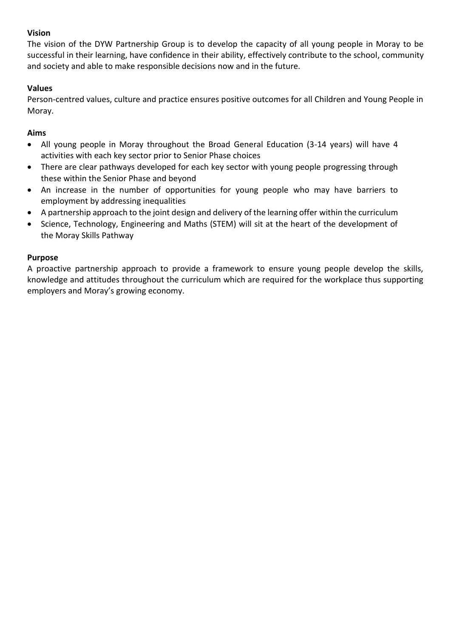## **Vision**

The vision of the DYW Partnership Group is to develop the capacity of all young people in Moray to be successful in their learning, have confidence in their ability, effectively contribute to the school, community and society and able to make responsible decisions now and in the future.

## **Values**

Person-centred values, culture and practice ensures positive outcomes for all Children and Young People in Moray.

## **Aims**

- All young people in Moray throughout the Broad General Education (3-14 years) will have 4 activities with each key sector prior to Senior Phase choices
- There are clear pathways developed for each key sector with young people progressing through these within the Senior Phase and beyond
- An increase in the number of opportunities for young people who may have barriers to employment by addressing inequalities
- A partnership approach to the joint design and delivery of the learning offer within the curriculum
- Science, Technology, Engineering and Maths (STEM) will sit at the heart of the development of the Moray Skills Pathway

### **Purpose**

A proactive partnership approach to provide a framework to ensure young people develop the skills, knowledge and attitudes throughout the curriculum which are required for the workplace thus supporting employers and Moray's growing economy.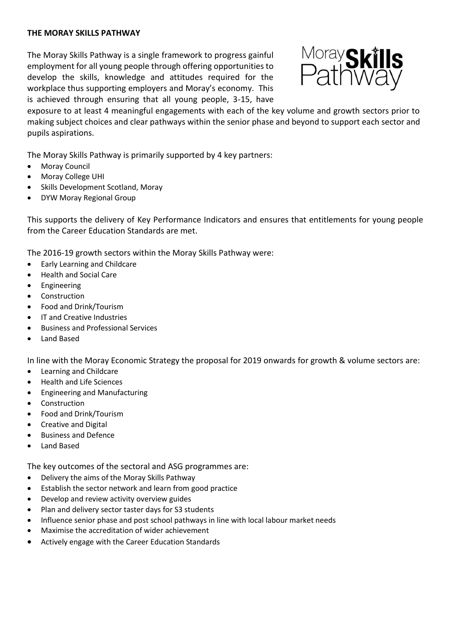#### **THE MORAY SKILLS PATHWAY**

The Moray Skills Pathway is a single framework to progress gainful employment for all young people through offering opportunities to develop the skills, knowledge and attitudes required for the workplace thus supporting employers and Moray's economy. This is achieved through ensuring that all young people, 3-15, have



exposure to at least 4 meaningful engagements with each of the key volume and growth sectors prior to making subject choices and clear pathways within the senior phase and beyond to support each sector and pupils aspirations.

The Moray Skills Pathway is primarily supported by 4 key partners:

- Moray Council
- Moray College UHI
- Skills Development Scotland, Moray
- DYW Moray Regional Group

This supports the delivery of Key Performance Indicators and ensures that entitlements for young people from the Career Education Standards are met.

The 2016-19 growth sectors within the Moray Skills Pathway were:

- Early Learning and Childcare
- Health and Social Care
- **Engineering**
- **Construction**
- Food and Drink/Tourism
- IT and Creative Industries
- Business and Professional Services
- Land Based

In line with the Moray Economic Strategy the proposal for 2019 onwards for growth & volume sectors are:

- Learning and Childcare
- Health and Life Sciences
- Engineering and Manufacturing
- **Construction**
- Food and Drink/Tourism
- Creative and Digital
- Business and Defence
- Land Based

The key outcomes of the sectoral and ASG programmes are:

- Delivery the aims of the Moray Skills Pathway
- Establish the sector network and learn from good practice
- Develop and review activity overview guides
- Plan and delivery sector taster days for S3 students
- Influence senior phase and post school pathways in line with local labour market needs
- Maximise the accreditation of wider achievement
- Actively engage with the Career Education Standards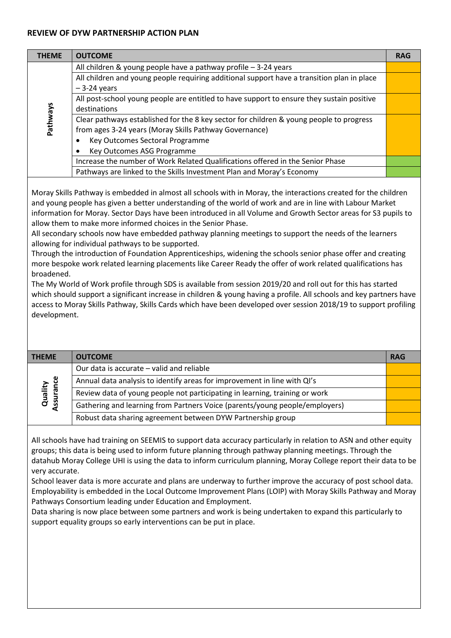#### **REVIEW OF DYW PARTNERSHIP ACTION PLAN**

| <b>THEME</b> | <b>OUTCOME</b>                                                                             | <b>RAG</b> |
|--------------|--------------------------------------------------------------------------------------------|------------|
|              | All children & young people have a pathway profile - 3-24 years                            |            |
|              | All children and young people requiring additional support have a transition plan in place |            |
|              | $-3-24$ years                                                                              |            |
|              | All post-school young people are entitled to have support to ensure they sustain positive  |            |
|              | destinations                                                                               |            |
| Pathways     | Clear pathways established for the 8 key sector for children & young people to progress    |            |
|              | from ages 3-24 years (Moray Skills Pathway Governance)                                     |            |
|              | Key Outcomes Sectoral Programme                                                            |            |
|              | Key Outcomes ASG Programme                                                                 |            |
|              | Increase the number of Work Related Qualifications offered in the Senior Phase             |            |
|              | Pathways are linked to the Skills Investment Plan and Moray's Economy                      |            |

Moray Skills Pathway is embedded in almost all schools with in Moray, the interactions created for the children and young people has given a better understanding of the world of work and are in line with Labour Market information for Moray. Sector Days have been introduced in all Volume and Growth Sector areas for S3 pupils to allow them to make more informed choices in the Senior Phase.

All secondary schools now have embedded pathway planning meetings to support the needs of the learners allowing for individual pathways to be supported.

Through the introduction of Foundation Apprenticeships, widening the schools senior phase offer and creating more bespoke work related learning placements like Career Ready the offer of work related qualifications has broadened.

The My World of Work profile through SDS is available from session 2019/20 and roll out for this has started which should support a significant increase in children & young having a profile. All schools and key partners have access to Moray Skills Pathway, Skills Cards which have been developed over session 2018/19 to support profiling development.

| <b>OUTCOME</b><br><b>THEME</b>                                                                     | <b>RAG</b> |
|----------------------------------------------------------------------------------------------------|------------|
| Our data is accurate – valid and reliable                                                          |            |
| Annual data analysis to identify areas for improvement in line with QI's                           |            |
| Quality<br>ssurance<br>Review data of young people not participating in learning, training or work |            |
| Gathering and learning from Partners Voice (parents/young people/employers)                        |            |
| Robust data sharing agreement between DYW Partnership group                                        |            |

All schools have had training on SEEMIS to support data accuracy particularly in relation to ASN and other equity groups; this data is being used to inform future planning through pathway planning meetings. Through the datahub Moray College UHI is using the data to inform curriculum planning, Moray College report their data to be very accurate.

School leaver data is more accurate and plans are underway to further improve the accuracy of post school data. Employability is embedded in the Local Outcome Improvement Plans (LOIP) with Moray Skills Pathway and Moray Pathways Consortium leading under Education and Employment.

Data sharing is now place between some partners and work is being undertaken to expand this particularly to support equality groups so early interventions can be put in place.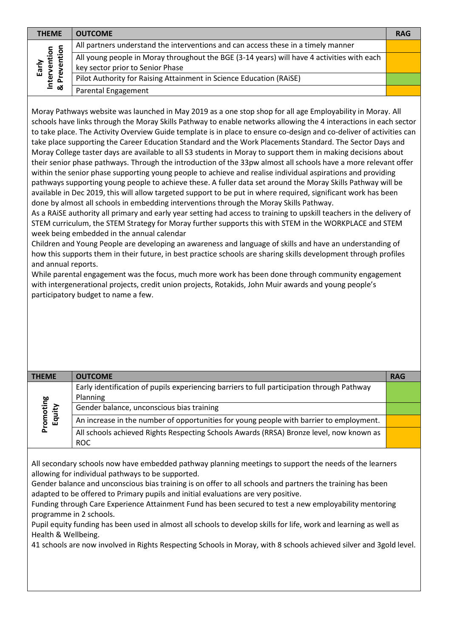| <b>THEME</b>                    | <b>OUTCOME</b>                                                                                                                 | <b>RAG</b> |
|---------------------------------|--------------------------------------------------------------------------------------------------------------------------------|------------|
|                                 | All partners understand the interventions and can access these in a timely manner                                              |            |
| ntion<br>:ntion<br>ω<br>്യ<br>입 | All young people in Moray throughout the BGE (3-14 years) will have 4 activities with each<br>key sector prior to Senior Phase |            |
| Inter<br>& Pre                  | Pilot Authority for Raising Attainment in Science Education (RAiSE)                                                            |            |
|                                 | Parental Engagement                                                                                                            |            |

Moray Pathways website was launched in May 2019 as a one stop shop for all age Employability in Moray. All schools have links through the Moray Skills Pathway to enable networks allowing the 4 interactions in each sector to take place. The Activity Overview Guide template is in place to ensure co-design and co-deliver of activities can take place supporting the Career Education Standard and the Work Placements Standard. The Sector Days and Moray College taster days are available to all S3 students in Moray to support them in making decisions about their senior phase pathways. Through the introduction of the 33pw almost all schools have a more relevant offer within the senior phase supporting young people to achieve and realise individual aspirations and providing pathways supporting young people to achieve these. A fuller data set around the Moray Skills Pathway will be available in Dec 2019, this will allow targeted support to be put in where required, significant work has been done by almost all schools in embedding interventions through the Moray Skills Pathway.

As a RAiSE authority all primary and early year setting had access to training to upskill teachers in the delivery of STEM curriculum, the STEM Strategy for Moray further supports this with STEM in the WORKPLACE and STEM week being embedded in the annual calendar

Children and Young People are developing an awareness and language of skills and have an understanding of how this supports them in their future, in best practice schools are sharing skills development through profiles and annual reports.

While parental engagement was the focus, much more work has been done through community engagement with intergenerational projects, credit union projects, Rotakids, John Muir awards and young people's participatory budget to name a few.

| <b>THEME</b>        | <b>OUTCOME</b>                                                                                         | <b>RAG</b> |
|---------------------|--------------------------------------------------------------------------------------------------------|------------|
|                     | Early identification of pupils experiencing barriers to full participation through Pathway<br>Planning |            |
| Promoting<br>Equity | Gender balance, unconscious bias training                                                              |            |
|                     | An increase in the number of opportunities for young people with barrier to employment.                |            |
|                     | All schools achieved Rights Respecting Schools Awards (RRSA) Bronze level, now known as                |            |
|                     | <b>ROC</b>                                                                                             |            |

All secondary schools now have embedded pathway planning meetings to support the needs of the learners allowing for individual pathways to be supported.

Gender balance and unconscious bias training is on offer to all schools and partners the training has been adapted to be offered to Primary pupils and initial evaluations are very positive.

Funding through Care Experience Attainment Fund has been secured to test a new employability mentoring programme in 2 schools.

Pupil equity funding has been used in almost all schools to develop skills for life, work and learning as well as Health & Wellbeing.

41 schools are now involved in Rights Respecting Schools in Moray, with 8 schools achieved silver and 3gold level.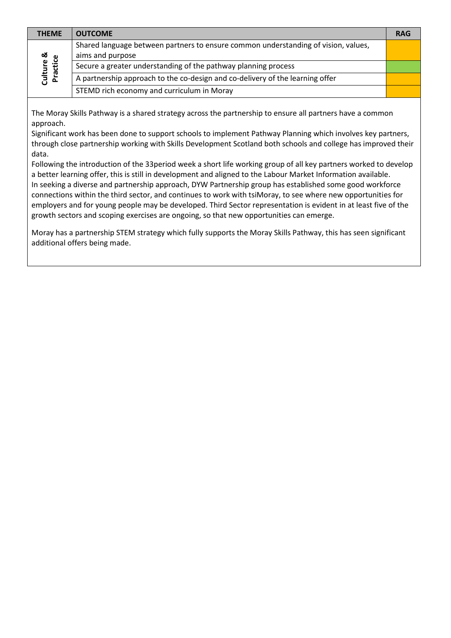| <b>THEME</b>          | <b>OUTCOME</b>                                                                     | <b>RAG</b> |
|-----------------------|------------------------------------------------------------------------------------|------------|
|                       | Shared language between partners to ensure common understanding of vision, values, |            |
| ಯ                     | aims and purpose                                                                   |            |
|                       | Secure a greater understanding of the pathway planning process                     |            |
| Culture &<br>Practice | A partnership approach to the co-design and co-delivery of the learning offer      |            |
|                       | STEMD rich economy and curriculum in Moray                                         |            |

The Moray Skills Pathway is a shared strategy across the partnership to ensure all partners have a common approach.

Significant work has been done to support schools to implement Pathway Planning which involves key partners, through close partnership working with Skills Development Scotland both schools and college has improved their data.

Following the introduction of the 33period week a short life working group of all key partners worked to develop a better learning offer, this is still in development and aligned to the Labour Market Information available. In seeking a diverse and partnership approach, DYW Partnership group has established some good workforce connections within the third sector, and continues to work with tsiMoray, to see where new opportunities for employers and for young people may be developed. Third Sector representation is evident in at least five of the growth sectors and scoping exercises are ongoing, so that new opportunities can emerge.

Moray has a partnership STEM strategy which fully supports the Moray Skills Pathway, this has seen significant additional offers being made.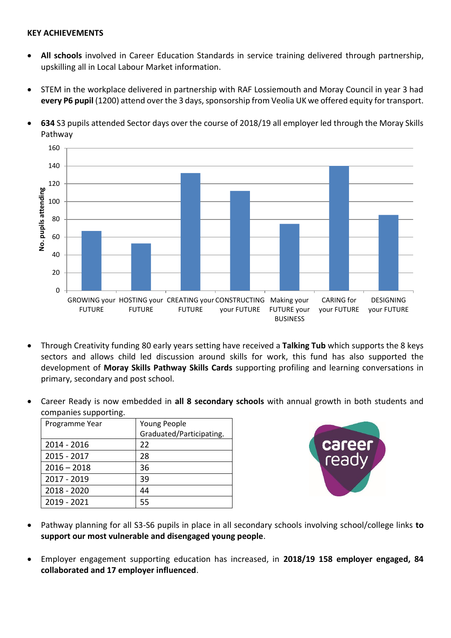#### **KEY ACHIEVEMENTS**

- **All schools** involved in Career Education Standards in service training delivered through partnership, upskilling all in Local Labour Market information.
- STEM in the workplace delivered in partnership with RAF Lossiemouth and Moray Council in year 3 had **every P6 pupil** (1200) attend over the 3 days, sponsorship from Veolia UK we offered equity for transport.



• **634** S3 pupils attended Sector days over the course of 2018/19 all employer led through the Moray Skills Pathway

- Through Creativity funding 80 early years setting have received a **Talking Tub** which supports the 8 keys sectors and allows child led discussion around skills for work, this fund has also supported the development of **Moray Skills Pathway Skills Cards** supporting profiling and learning conversations in primary, secondary and post school.
- Career Ready is now embedded in **all 8 secondary schools** with annual growth in both students and companies supporting.

| Programme Year | Young People             |
|----------------|--------------------------|
|                | Graduated/Participating. |
| 2014 - 2016    | 22                       |
| 2015 - 2017    | 28                       |
| $2016 - 2018$  | 36                       |
| 2017 - 2019    | 39                       |
| 2018 - 2020    | 44                       |
| 2019 - 2021    | 55                       |



- Pathway planning for all S3-S6 pupils in place in all secondary schools involving school/college links **to support our most vulnerable and disengaged young people**.
- Employer engagement supporting education has increased, in **2018/19 158 employer engaged, 84 collaborated and 17 employer influenced**.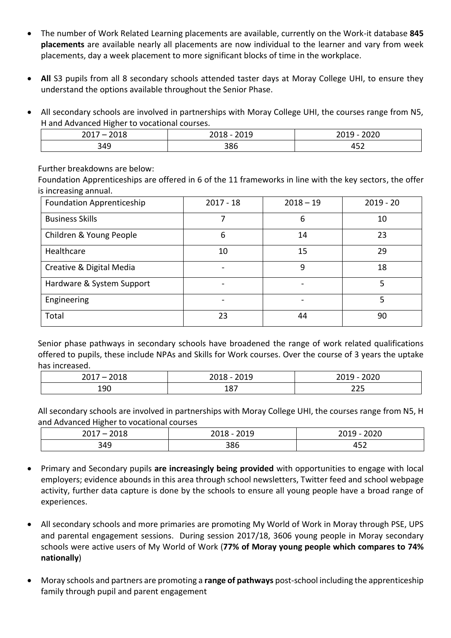- The number of Work Related Learning placements are available, currently on the Work-it database **845 placements** are available nearly all placements are now individual to the learner and vary from week placements, day a week placement to more significant blocks of time in the workplace.
- All S3 pupils from all 8 secondary schools attended taster days at Moray College UHI, to ensure they understand the options available throughout the Senior Phase.
- All secondary schools are involved in partnerships with Moray College UHI, the courses range from N5, H and Advanced Higher to vocational courses.

| 2017<br>$\overline{\phantom{0}}$<br>--- | $\sim$ $\sim$ $\sim$<br>-- | $\mathbf{a}\mathbf{a}\mathbf{a}\mathbf{a}$<br>້<br>-~ |
|-----------------------------------------|----------------------------|-------------------------------------------------------|
| 210<br>- 545                            | 386                        | $- - -$<br>"<br>⇥◡▵                                   |

Further breakdowns are below:

Foundation Apprenticeships are offered in 6 of the 11 frameworks in line with the key sectors, the offer is increasing annual.

| <b>Foundation Apprenticeship</b> | $2017 - 18$ | $2018 - 19$ | $2019 - 20$ |
|----------------------------------|-------------|-------------|-------------|
| <b>Business Skills</b>           |             | 6           | 10          |
| Children & Young People          | 6           | 14          | 23          |
| Healthcare                       | 10          | 15          | 29          |
| Creative & Digital Media         |             | ٩           | 18          |
| Hardware & System Support        |             |             | 5           |
| Engineering                      |             |             | 5           |
| Total                            | 23          | 44          | 90          |

Senior phase pathways in secondary schools have broadened the range of work related qualifications offered to pupils, these include NPAs and Skills for Work courses. Over the course of 3 years the uptake has increased.

| $\sim$<br>2017<br>_<br>--- | $\sim$ $\sim$ $\sim$<br>ᅩ◡ᅩ<br><u>_v_v</u> | $\cdots$<br>.<br>. .<br>∠∪<br>∼∽∽ |
|----------------------------|--------------------------------------------|-----------------------------------|
| 190                        | $\Omega$<br>TO V                           | $\sim$ $\sim$ $\sim$<br>تے ہے     |

All secondary schools are involved in partnerships with Moray College UHI, the courses range from N5, H and Advanced Higher to vocational courses

| 2017<br>2040<br>∠∪⊥∪ | 2010<br><b>LUIU</b><br><u>___</u> | $\mathbf{a}\mathbf{a}\mathbf{a}\mathbf{a}$<br><u>___</u><br>2013<br>∠∪∠∪ |
|----------------------|-----------------------------------|--------------------------------------------------------------------------|
| 349                  | 386                               | $ -$<br>⇁◡▵                                                              |

- Primary and Secondary pupils **are increasingly being provided** with opportunities to engage with local employers; evidence abounds in this area through school newsletters, Twitter feed and school webpage activity, further data capture is done by the schools to ensure all young people have a broad range of experiences.
- All secondary schools and more primaries are promoting My World of Work in Moray through PSE, UPS and parental engagement sessions. During session 2017/18, 3606 young people in Moray secondary schools were active users of My World of Work (**77% of Moray young people which compares to 74% nationally**)
- Moray schools and partners are promoting a **range of pathways** post-school including the apprenticeship family through pupil and parent engagement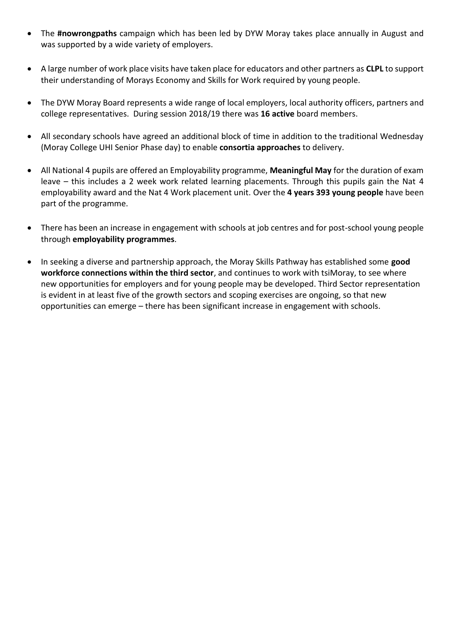- The **#nowrongpaths** campaign which has been led by DYW Moray takes place annually in August and was supported by a wide variety of employers.
- A large number of work place visits have taken place for educators and other partners as **CLPL** to support their understanding of Morays Economy and Skills for Work required by young people.
- The DYW Moray Board represents a wide range of local employers, local authority officers, partners and college representatives. During session 2018/19 there was **16 active** board members.
- All secondary schools have agreed an additional block of time in addition to the traditional Wednesday (Moray College UHI Senior Phase day) to enable **consortia approaches** to delivery.
- All National 4 pupils are offered an Employability programme, **Meaningful May** for the duration of exam leave – this includes a 2 week work related learning placements. Through this pupils gain the Nat 4 employability award and the Nat 4 Work placement unit. Over the **4 years 393 young people** have been part of the programme.
- There has been an increase in engagement with schools at job centres and for post-school young people through **employability programmes**.
- In seeking a diverse and partnership approach, the Moray Skills Pathway has established some **good workforce connections within the third sector**, and continues to work with tsiMoray, to see where new opportunities for employers and for young people may be developed. Third Sector representation is evident in at least five of the growth sectors and scoping exercises are ongoing, so that new opportunities can emerge – there has been significant increase in engagement with schools.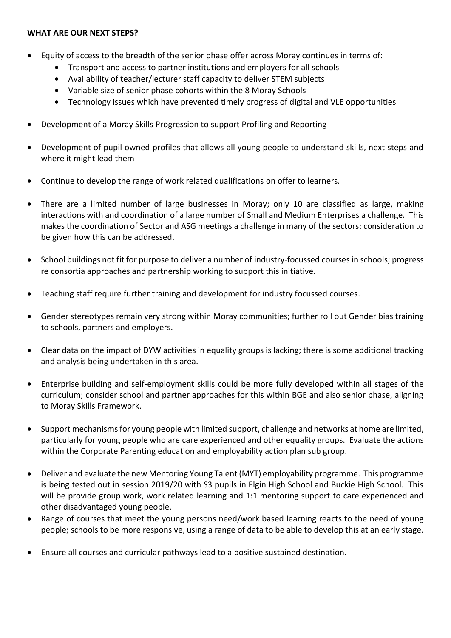#### **WHAT ARE OUR NEXT STEPS?**

- Equity of access to the breadth of the senior phase offer across Moray continues in terms of:
	- Transport and access to partner institutions and employers for all schools
	- Availability of teacher/lecturer staff capacity to deliver STEM subjects
	- Variable size of senior phase cohorts within the 8 Moray Schools
	- Technology issues which have prevented timely progress of digital and VLE opportunities
- Development of a Moray Skills Progression to support Profiling and Reporting
- Development of pupil owned profiles that allows all young people to understand skills, next steps and where it might lead them
- Continue to develop the range of work related qualifications on offer to learners.
- There are a limited number of large businesses in Moray; only 10 are classified as large, making interactions with and coordination of a large number of Small and Medium Enterprises a challenge. This makes the coordination of Sector and ASG meetings a challenge in many of the sectors; consideration to be given how this can be addressed.
- School buildings not fit for purpose to deliver a number of industry-focussed courses in schools; progress re consortia approaches and partnership working to support this initiative.
- Teaching staff require further training and development for industry focussed courses.
- Gender stereotypes remain very strong within Moray communities; further roll out Gender bias training to schools, partners and employers.
- Clear data on the impact of DYW activities in equality groups is lacking; there is some additional tracking and analysis being undertaken in this area.
- Enterprise building and self-employment skills could be more fully developed within all stages of the curriculum; consider school and partner approaches for this within BGE and also senior phase, aligning to Moray Skills Framework.
- Support mechanisms for young people with limited support, challenge and networks at home are limited, particularly for young people who are care experienced and other equality groups. Evaluate the actions within the Corporate Parenting education and employability action plan sub group.
- Deliver and evaluate the new Mentoring Young Talent (MYT) employability programme. This programme is being tested out in session 2019/20 with S3 pupils in Elgin High School and Buckie High School. This will be provide group work, work related learning and 1:1 mentoring support to care experienced and other disadvantaged young people.
- Range of courses that meet the young persons need/work based learning reacts to the need of young people; schools to be more responsive, using a range of data to be able to develop this at an early stage.
- Ensure all courses and curricular pathways lead to a positive sustained destination.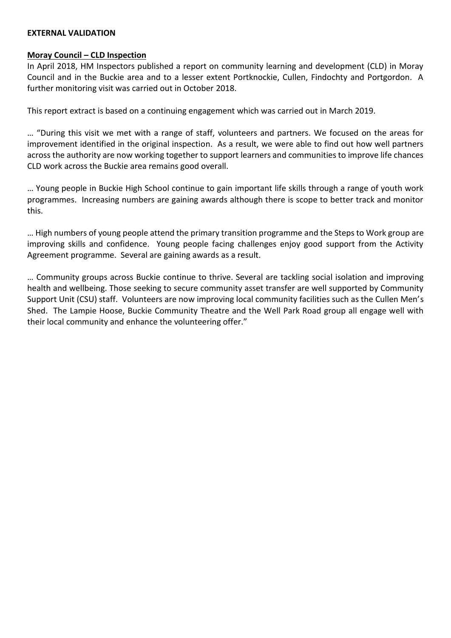#### **EXTERNAL VALIDATION**

#### **Moray Council – CLD Inspection**

In April 2018, HM Inspectors published a report on community learning and development (CLD) in Moray Council and in the Buckie area and to a lesser extent Portknockie, Cullen, Findochty and Portgordon. A further monitoring visit was carried out in October 2018.

This report extract is based on a continuing engagement which was carried out in March 2019.

… "During this visit we met with a range of staff, volunteers and partners. We focused on the areas for improvement identified in the original inspection. As a result, we were able to find out how well partners across the authority are now working together to support learners and communities to improve life chances CLD work across the Buckie area remains good overall.

… Young people in Buckie High School continue to gain important life skills through a range of youth work programmes. Increasing numbers are gaining awards although there is scope to better track and monitor this.

… High numbers of young people attend the primary transition programme and the Steps to Work group are improving skills and confidence. Young people facing challenges enjoy good support from the Activity Agreement programme. Several are gaining awards as a result.

… Community groups across Buckie continue to thrive. Several are tackling social isolation and improving health and wellbeing. Those seeking to secure community asset transfer are well supported by Community Support Unit (CSU) staff. Volunteers are now improving local community facilities such as the Cullen Men's Shed. The Lampie Hoose, Buckie Community Theatre and the Well Park Road group all engage well with their local community and enhance the volunteering offer."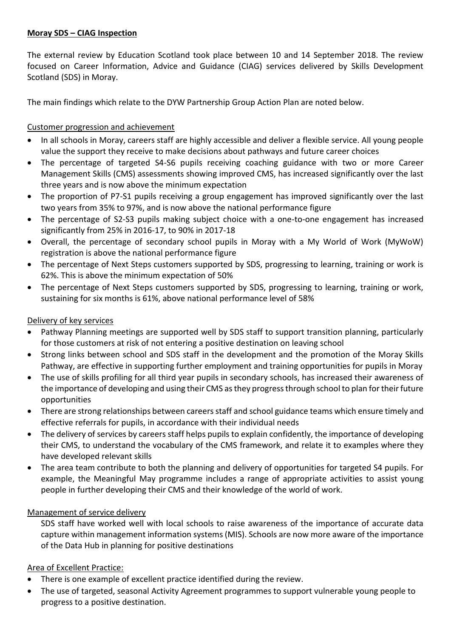## **Moray SDS – CIAG Inspection**

The external review by Education Scotland took place between 10 and 14 September 2018. The review focused on Career Information, Advice and Guidance (CIAG) services delivered by Skills Development Scotland (SDS) in Moray.

The main findings which relate to the DYW Partnership Group Action Plan are noted below.

## Customer progression and achievement

- In all schools in Moray, careers staff are highly accessible and deliver a flexible service. All young people value the support they receive to make decisions about pathways and future career choices
- The percentage of targeted S4-S6 pupils receiving coaching guidance with two or more Career Management Skills (CMS) assessments showing improved CMS, has increased significantly over the last three years and is now above the minimum expectation
- The proportion of P7-S1 pupils receiving a group engagement has improved significantly over the last two years from 35% to 97%, and is now above the national performance figure
- The percentage of S2-S3 pupils making subject choice with a one-to-one engagement has increased significantly from 25% in 2016-17, to 90% in 2017-18
- Overall, the percentage of secondary school pupils in Moray with a My World of Work (MyWoW) registration is above the national performance figure
- The percentage of Next Steps customers supported by SDS, progressing to learning, training or work is 62%. This is above the minimum expectation of 50%
- The percentage of Next Steps customers supported by SDS, progressing to learning, training or work, sustaining for six months is 61%, above national performance level of 58%

## Delivery of key services

- Pathway Planning meetings are supported well by SDS staff to support transition planning, particularly for those customers at risk of not entering a positive destination on leaving school
- Strong links between school and SDS staff in the development and the promotion of the Moray Skills Pathway, are effective in supporting further employment and training opportunities for pupils in Moray
- The use of skills profiling for all third year pupils in secondary schools, has increased their awareness of the importance of developing and using their CMS as they progress through school to plan for their future opportunities
- There are strong relationships between careers staff and school guidance teams which ensure timely and effective referrals for pupils, in accordance with their individual needs
- The delivery of services by careers staff helps pupils to explain confidently, the importance of developing their CMS, to understand the vocabulary of the CMS framework, and relate it to examples where they have developed relevant skills
- The area team contribute to both the planning and delivery of opportunities for targeted S4 pupils. For example, the Meaningful May programme includes a range of appropriate activities to assist young people in further developing their CMS and their knowledge of the world of work.

## Management of service delivery

SDS staff have worked well with local schools to raise awareness of the importance of accurate data capture within management information systems (MIS). Schools are now more aware of the importance of the Data Hub in planning for positive destinations

## Area of Excellent Practice:

- There is one example of excellent practice identified during the review.
- The use of targeted, seasonal Activity Agreement programmes to support vulnerable young people to progress to a positive destination.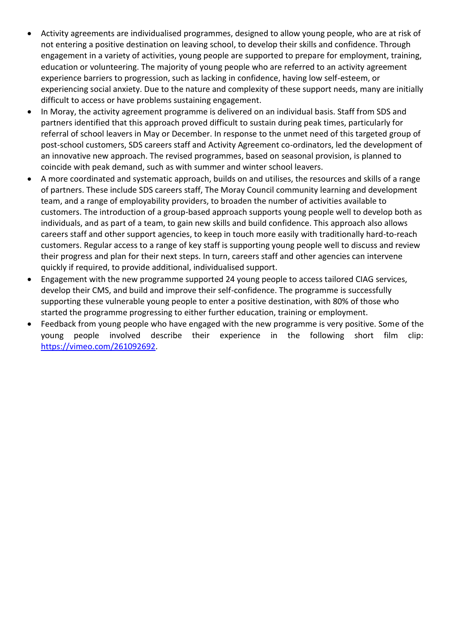- Activity agreements are individualised programmes, designed to allow young people, who are at risk of not entering a positive destination on leaving school, to develop their skills and confidence. Through engagement in a variety of activities, young people are supported to prepare for employment, training, education or volunteering. The majority of young people who are referred to an activity agreement experience barriers to progression, such as lacking in confidence, having low self-esteem, or experiencing social anxiety. Due to the nature and complexity of these support needs, many are initially difficult to access or have problems sustaining engagement.
- In Moray, the activity agreement programme is delivered on an individual basis. Staff from SDS and partners identified that this approach proved difficult to sustain during peak times, particularly for referral of school leavers in May or December. In response to the unmet need of this targeted group of post-school customers, SDS careers staff and Activity Agreement co-ordinators, led the development of an innovative new approach. The revised programmes, based on seasonal provision, is planned to coincide with peak demand, such as with summer and winter school leavers.
- A more coordinated and systematic approach, builds on and utilises, the resources and skills of a range of partners. These include SDS careers staff, The Moray Council community learning and development team, and a range of employability providers, to broaden the number of activities available to customers. The introduction of a group-based approach supports young people well to develop both as individuals, and as part of a team, to gain new skills and build confidence. This approach also allows careers staff and other support agencies, to keep in touch more easily with traditionally hard-to-reach customers. Regular access to a range of key staff is supporting young people well to discuss and review their progress and plan for their next steps. In turn, careers staff and other agencies can intervene quickly if required, to provide additional, individualised support.
- Engagement with the new programme supported 24 young people to access tailored CIAG services, develop their CMS, and build and improve their self-confidence. The programme is successfully supporting these vulnerable young people to enter a positive destination, with 80% of those who started the programme progressing to either further education, training or employment.
- Feedback from young people who have engaged with the new programme is very positive. Some of the young people involved describe their experience in the following short film clip: [https://vimeo.com/261092692.](https://vimeo.com/261092692)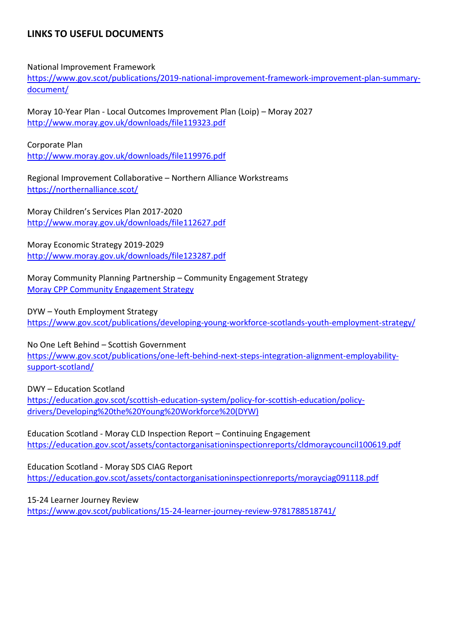## **LINKS TO USEFUL DOCUMENTS**

National Improvement Framework

[https://www.gov.scot/publications/2019-national-improvement-framework-improvement-plan-summary](https://www.gov.scot/publications/2019-national-improvement-framework-improvement-plan-summary-document/)[document/](https://www.gov.scot/publications/2019-national-improvement-framework-improvement-plan-summary-document/)

Moray 10-Year Plan - Local Outcomes Improvement Plan (Loip) – Moray 2027 <http://www.moray.gov.uk/downloads/file119323.pdf>

Corporate Plan

<http://www.moray.gov.uk/downloads/file119976.pdf>

Regional Improvement Collaborative – Northern Alliance Workstreams <https://northernalliance.scot/>

Moray Children's Services Plan 2017-2020 <http://www.moray.gov.uk/downloads/file112627.pdf>

Moray Economic Strategy 2019-2029 <http://www.moray.gov.uk/downloads/file123287.pdf>

Moray Community Planning Partnership – Community Engagement Strategy [Moray CPP Community Engagement Strategy](http://www.moray.gov.uk/minutes/data/CB20171207/7.%20Community%20Engagement%20Strategy.pdf)

DYW – Youth Employment Strategy <https://www.gov.scot/publications/developing-young-workforce-scotlands-youth-employment-strategy/>

No One Left Behind – Scottish Government [https://www.gov.scot/publications/one-left-behind-next-steps-integration-alignment-employability](https://www.gov.scot/publications/one-left-behind-next-steps-integration-alignment-employability-support-scotland/)[support-scotland/](https://www.gov.scot/publications/one-left-behind-next-steps-integration-alignment-employability-support-scotland/)

DWY – Education Scotland [https://education.gov.scot/scottish-education-system/policy-for-scottish-education/policy](https://education.gov.scot/scottish-education-system/policy-for-scottish-education/policy-drivers/Developing%20the%20Young%20Workforce%20(DYW))[drivers/Developing%20the%20Young%20Workforce%20\(DYW\)](https://education.gov.scot/scottish-education-system/policy-for-scottish-education/policy-drivers/Developing%20the%20Young%20Workforce%20(DYW))

Education Scotland - Moray CLD Inspection Report – Continuing Engagement <https://education.gov.scot/assets/contactorganisationinspectionreports/cldmoraycouncil100619.pdf>

Education Scotland - Moray SDS CIAG Report <https://education.gov.scot/assets/contactorganisationinspectionreports/morayciag091118.pdf>

15-24 Learner Journey Review <https://www.gov.scot/publications/15-24-learner-journey-review-9781788518741/>